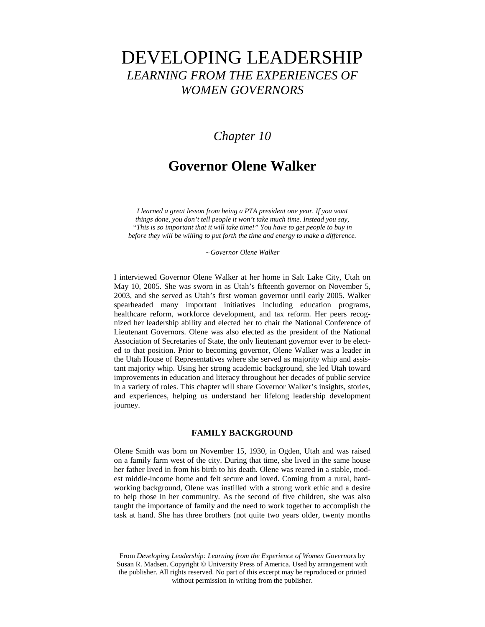# DEVELOPING LEADERSHIP *LEARNING FROM THE EXPERIENCES OF WOMEN GOVERNORS*

# *Chapter 10*

# **Governor Olene Walker**

*I learned a great lesson from being a PTA president one year. If you want things done, you don't tell people it won't take much time. Instead you say, "This is so important that it will take time!" You have to get people to buy in before they will be willing to put forth the time and energy to make a difference.*

∼ *Governor Olene Walker*

I interviewed Governor Olene Walker at her home in Salt Lake City, Utah on May 10, 2005. She was sworn in as Utah's fifteenth governor on November 5, 2003, and she served as Utah's first woman governor until early 2005. Walker spearheaded many important initiatives including education programs, healthcare reform, workforce development, and tax reform. Her peers recognized her leadership ability and elected her to chair the National Conference of Lieutenant Governors. Olene was also elected as the president of the National Association of Secretaries of State, the only lieutenant governor ever to be elected to that position. Prior to becoming governor, Olene Walker was a leader in the Utah House of Representatives where she served as majority whip and assistant majority whip. Using her strong academic background, she led Utah toward improvements in education and literacy throughout her decades of public service in a variety of roles. This chapter will share Governor Walker's insights, stories, and experiences, helping us understand her lifelong leadership development journey.

# **FAMILY BACKGROUND**

Olene Smith was born on November 15, 1930, in Ogden, Utah and was raised on a family farm west of the city. During that time, she lived in the same house her father lived in from his birth to his death. Olene was reared in a stable, modest middle-income home and felt secure and loved. Coming from a rural, hardworking background, Olene was instilled with a strong work ethic and a desire to help those in her community. As the second of five children, she was also taught the importance of family and the need to work together to accomplish the task at hand. She has three brothers (not quite two years older, twenty months

From *Developing Leadership: Learning from the Experience of Women Governors* by Susan R. Madsen. Copyright © University Press of America. Used by arrangement with the publisher. All rights reserved. No part of this excerpt may be reproduced or printed without permission in writing from the publisher.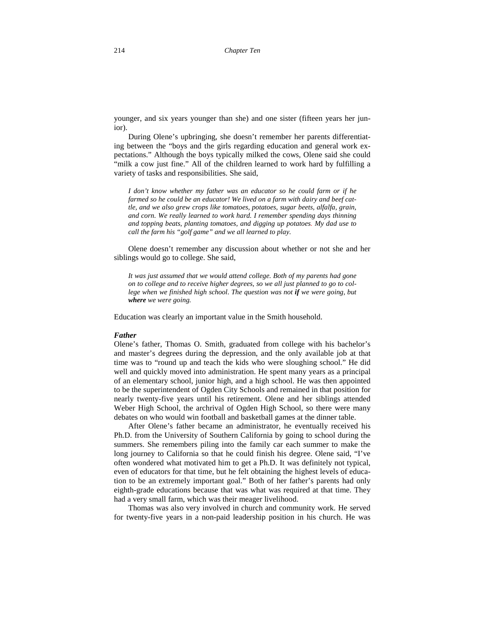younger, and six years younger than she) and one sister (fifteen years her junior).

During Olene's upbringing, she doesn't remember her parents differentiating between the "boys and the girls regarding education and general work expectations." Although the boys typically milked the cows, Olene said she could "milk a cow just fine." All of the children learned to work hard by fulfilling a variety of tasks and responsibilities. She said,

*I don't know whether my father was an educator so he could farm or if he farmed so he could be an educator! We lived on a farm with dairy and beef cattle, and we also grew crops like tomatoes, potatoes, sugar beets, alfalfa, grain, and corn. We really learned to work hard. I remember spending days thinning and topping beats, planting tomatoes, and digging up potatoes. My dad use to call the farm his "golf game" and we all learned to play.*

Olene doesn't remember any discussion about whether or not she and her siblings would go to college. She said,

*It was just assumed that we would attend college. Both of my parents had gone on to college and to receive higher degrees, so we all just planned to go to college when we finished high school*. *The question was not if we were going, but where we were going.* 

Education was clearly an important value in the Smith household.

## *Father*

Olene's father, Thomas O. Smith, graduated from college with his bachelor's and master's degrees during the depression, and the only available job at that time was to "round up and teach the kids who were sloughing school." He did well and quickly moved into administration. He spent many years as a principal of an elementary school, junior high, and a high school. He was then appointed to be the superintendent of Ogden City Schools and remained in that position for nearly twenty-five years until his retirement. Olene and her siblings attended Weber High School, the archrival of Ogden High School, so there were many debates on who would win football and basketball games at the dinner table.

After Olene's father became an administrator, he eventually received his Ph.D. from the University of Southern California by going to school during the summers. She remembers piling into the family car each summer to make the long journey to California so that he could finish his degree. Olene said, "I've often wondered what motivated him to get a Ph.D. It was definitely not typical, even of educators for that time, but he felt obtaining the highest levels of education to be an extremely important goal." Both of her father's parents had only eighth-grade educations because that was what was required at that time. They had a very small farm, which was their meager livelihood.

Thomas was also very involved in church and community work. He served for twenty-five years in a non-paid leadership position in his church. He was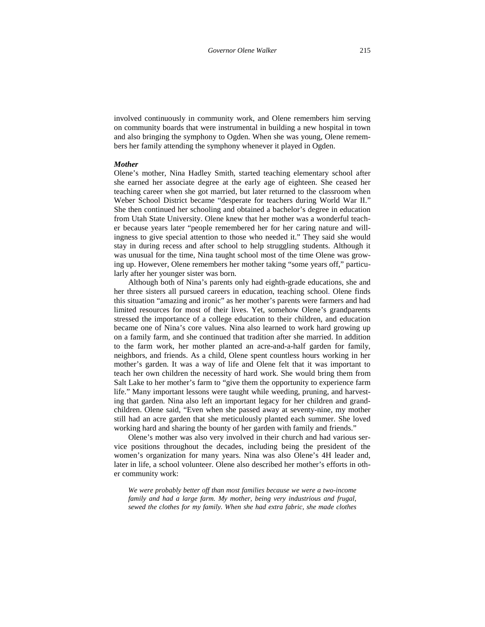involved continuously in community work, and Olene remembers him serving on community boards that were instrumental in building a new hospital in town and also bringing the symphony to Ogden. When she was young, Olene remembers her family attending the symphony whenever it played in Ogden.

#### *Mother*

Olene's mother, Nina Hadley Smith, started teaching elementary school after she earned her associate degree at the early age of eighteen. She ceased her teaching career when she got married, but later returned to the classroom when Weber School District became "desperate for teachers during World War II." She then continued her schooling and obtained a bachelor's degree in education from Utah State University. Olene knew that her mother was a wonderful teacher because years later "people remembered her for her caring nature and willingness to give special attention to those who needed it." They said she would stay in during recess and after school to help struggling students. Although it was unusual for the time, Nina taught school most of the time Olene was growing up. However, Olene remembers her mother taking "some years off," particularly after her younger sister was born.

Although both of Nina's parents only had eighth-grade educations, she and her three sisters all pursued careers in education, teaching school. Olene finds this situation "amazing and ironic" as her mother's parents were farmers and had limited resources for most of their lives. Yet, somehow Olene's grandparents stressed the importance of a college education to their children, and education became one of Nina's core values. Nina also learned to work hard growing up on a family farm, and she continued that tradition after she married. In addition to the farm work, her mother planted an acre-and-a-half garden for family, neighbors, and friends. As a child, Olene spent countless hours working in her mother's garden. It was a way of life and Olene felt that it was important to teach her own children the necessity of hard work. She would bring them from Salt Lake to her mother's farm to "give them the opportunity to experience farm life." Many important lessons were taught while weeding, pruning, and harvesting that garden. Nina also left an important legacy for her children and grandchildren. Olene said, "Even when she passed away at seventy-nine, my mother still had an acre garden that she meticulously planted each summer. She loved working hard and sharing the bounty of her garden with family and friends."

Olene's mother was also very involved in their church and had various service positions throughout the decades, including being the president of the women's organization for many years. Nina was also Olene's 4H leader and, later in life, a school volunteer. Olene also described her mother's efforts in other community work:

*We were probably better off than most families because we were a two-income family and had a large farm. My mother, being very industrious and frugal, sewed the clothes for my family. When she had extra fabric, she made clothes*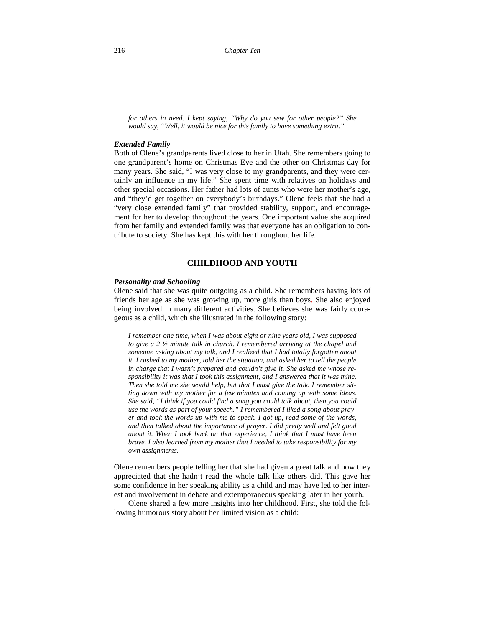*for others in need. I kept saying, "Why do you sew for other people?" She would say, "Well, it would be nice for this family to have something extra."*

# *Extended Family*

Both of Olene's grandparents lived close to her in Utah. She remembers going to one grandparent's home on Christmas Eve and the other on Christmas day for many years. She said, "I was very close to my grandparents, and they were certainly an influence in my life." She spent time with relatives on holidays and other special occasions. Her father had lots of aunts who were her mother's age, and "they'd get together on everybody's birthdays." Olene feels that she had a "very close extended family" that provided stability, support, and encouragement for her to develop throughout the years. One important value she acquired from her family and extended family was that everyone has an obligation to contribute to society. She has kept this with her throughout her life.

# **CHILDHOOD AND YOUTH**

#### *Personality and Schooling*

Olene said that she was quite outgoing as a child. She remembers having lots of friends her age as she was growing up, more girls than boys. She also enjoyed being involved in many different activities. She believes she was fairly courageous as a child, which she illustrated in the following story:

*I remember one time, when I was about eight or nine years old, I was supposed to give a 2 ½ minute talk in church. I remembered arriving at the chapel and someone asking about my talk, and I realized that I had totally forgotten about it. I rushed to my mother, told her the situation, and asked her to tell the people in charge that I wasn't prepared and couldn't give it. She asked me whose responsibility it was that I took this assignment, and I answered that it was mine. Then she told me she would help, but that I must give the talk. I remember sitting down with my mother for a few minutes and coming up with some ideas. She said, "I think if you could find a song you could talk about, then you could use the words as part of your speech." I remembered I liked a song about prayer and took the words up with me to speak. I got up, read some of the words, and then talked about the importance of prayer. I did pretty well and felt good about it. When I look back on that experience, I think that I must have been brave. I also learned from my mother that I needed to take responsibility for my own assignments.* 

Olene remembers people telling her that she had given a great talk and how they appreciated that she hadn't read the whole talk like others did. This gave her some confidence in her speaking ability as a child and may have led to her interest and involvement in debate and extemporaneous speaking later in her youth.

Olene shared a few more insights into her childhood. First, she told the following humorous story about her limited vision as a child: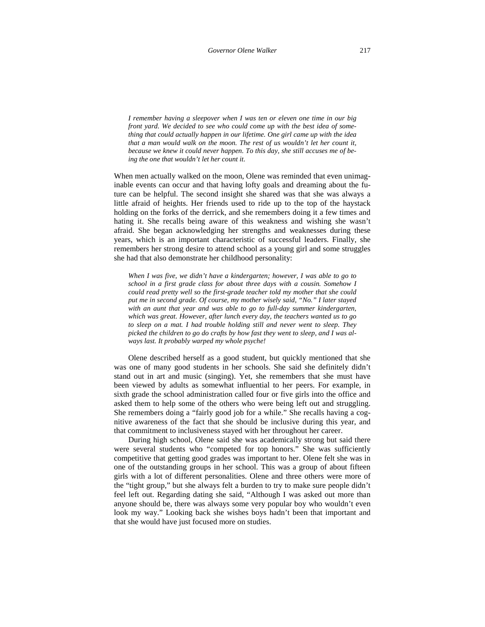*I remember having a sleepover when I was ten or eleven one time in our big front yard. We decided to see who could come up with the best idea of something that could actually happen in our lifetime. One girl came up with the idea that a man would walk on the moon. The rest of us wouldn't let her count it, because we knew it could never happen. To this day, she still accuses me of being the one that wouldn't let her count it.* 

When men actually walked on the moon, Olene was reminded that even unimaginable events can occur and that having lofty goals and dreaming about the future can be helpful. The second insight she shared was that she was always a little afraid of heights. Her friends used to ride up to the top of the haystack holding on the forks of the derrick, and she remembers doing it a few times and hating it. She recalls being aware of this weakness and wishing she wasn't afraid. She began acknowledging her strengths and weaknesses during these years, which is an important characteristic of successful leaders. Finally, she remembers her strong desire to attend school as a young girl and some struggles she had that also demonstrate her childhood personality:

*When I was five, we didn't have a kindergarten; however, I was able to go to school in a first grade class for about three days with a cousin. Somehow I could read pretty well so the first-grade teacher told my mother that she could put me in second grade. Of course, my mother wisely said, "No." I later stayed with an aunt that year and was able to go to full-day summer kindergarten, which was great. However, after lunch every day, the teachers wanted us to go to sleep on a mat. I had trouble holding still and never went to sleep. They picked the children to go do crafts by how fast they went to sleep, and I was always last. It probably warped my whole psyche!*

Olene described herself as a good student, but quickly mentioned that she was one of many good students in her schools. She said she definitely didn't stand out in art and music (singing). Yet, she remembers that she must have been viewed by adults as somewhat influential to her peers. For example, in sixth grade the school administration called four or five girls into the office and asked them to help some of the others who were being left out and struggling. She remembers doing a "fairly good job for a while." She recalls having a cognitive awareness of the fact that she should be inclusive during this year, and that commitment to inclusiveness stayed with her throughout her career.

During high school, Olene said she was academically strong but said there were several students who "competed for top honors." She was sufficiently competitive that getting good grades was important to her. Olene felt she was in one of the outstanding groups in her school. This was a group of about fifteen girls with a lot of different personalities. Olene and three others were more of the "tight group," but she always felt a burden to try to make sure people didn't feel left out. Regarding dating she said, "Although I was asked out more than anyone should be, there was always some very popular boy who wouldn't even look my way." Looking back she wishes boys hadn't been that important and that she would have just focused more on studies.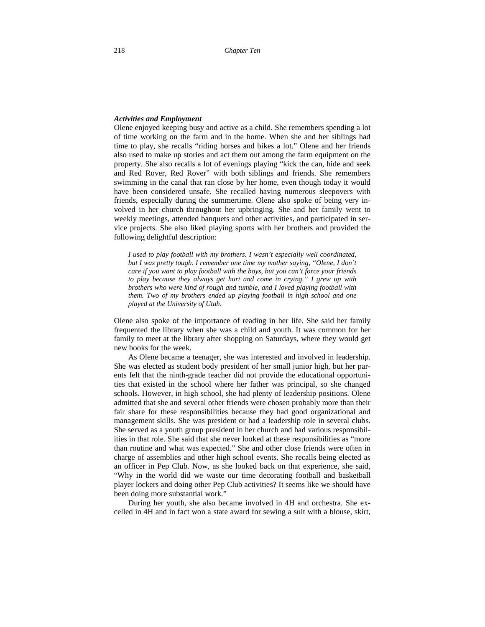#### *Activities and Employment*

Olene enjoyed keeping busy and active as a child. She remembers spending a lot of time working on the farm and in the home. When she and her siblings had time to play, she recalls "riding horses and bikes a lot." Olene and her friends also used to make up stories and act them out among the farm equipment on the property. She also recalls a lot of evenings playing "kick the can, hide and seek and Red Rover, Red Rover" with both siblings and friends. She remembers swimming in the canal that ran close by her home, even though today it would have been considered unsafe. She recalled having numerous sleepovers with friends, especially during the summertime. Olene also spoke of being very involved in her church throughout her upbringing. She and her family went to weekly meetings, attended banquets and other activities, and participated in service projects. She also liked playing sports with her brothers and provided the following delightful description:

*I used to play football with my brothers. I wasn't especially well coordinated, but I was pretty tough. I remember one time my mother saying, "Olene, I don't care if you want to play football with the boys, but you can't force your friends to play because they always get hurt and come in crying." I grew up with brothers who were kind of rough and tumble, and I loved playing football with them. Two of my brothers ended up playing football in high school and one played at the University of Utah.* 

Olene also spoke of the importance of reading in her life. She said her family frequented the library when she was a child and youth. It was common for her family to meet at the library after shopping on Saturdays, where they would get new books for the week.

As Olene became a teenager, she was interested and involved in leadership. She was elected as student body president of her small junior high, but her parents felt that the ninth-grade teacher did not provide the educational opportunities that existed in the school where her father was principal, so she changed schools. However, in high school, she had plenty of leadership positions. Olene admitted that she and several other friends were chosen probably more than their fair share for these responsibilities because they had good organizational and management skills. She was president or had a leadership role in several clubs. She served as a youth group president in her church and had various responsibilities in that role. She said that she never looked at these responsibilities as "more than routine and what was expected." She and other close friends were often in charge of assemblies and other high school events. She recalls being elected as an officer in Pep Club. Now, as she looked back on that experience, she said, "Why in the world did we waste our time decorating football and basketball player lockers and doing other Pep Club activities? It seems like we should have been doing more substantial work."

During her youth, she also became involved in 4H and orchestra. She excelled in 4H and in fact won a state award for sewing a suit with a blouse, skirt,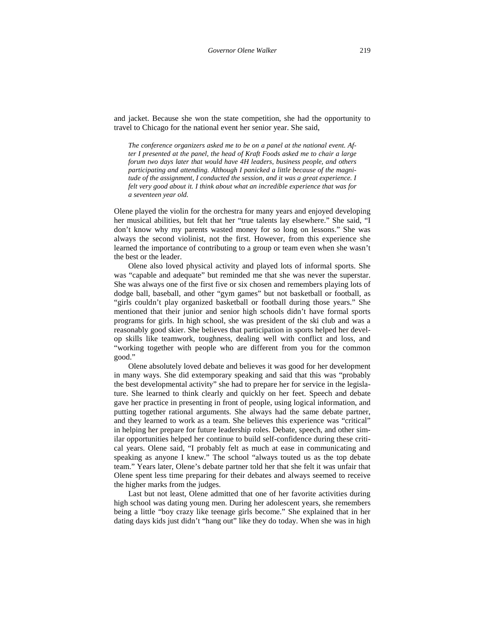and jacket. Because she won the state competition, she had the opportunity to travel to Chicago for the national event her senior year. She said,

*The conference organizers asked me to be on a panel at the national event. After I presented at the panel, the head of Kraft Foods asked me to chair a large forum two days later that would have 4H leaders, business people, and others participating and attending. Although I panicked a little because of the magnitude of the assignment, I conducted the session, and it was a great experience. I felt very good about it. I think about what an incredible experience that was for a seventeen year old.* 

Olene played the violin for the orchestra for many years and enjoyed developing her musical abilities, but felt that her "true talents lay elsewhere." She said, "I don't know why my parents wasted money for so long on lessons." She was always the second violinist, not the first. However, from this experience she learned the importance of contributing to a group or team even when she wasn't the best or the leader.

Olene also loved physical activity and played lots of informal sports. She was "capable and adequate" but reminded me that she was never the superstar. She was always one of the first five or six chosen and remembers playing lots of dodge ball, baseball, and other "gym games" but not basketball or football, as "girls couldn't play organized basketball or football during those years." She mentioned that their junior and senior high schools didn't have formal sports programs for girls. In high school, she was president of the ski club and was a reasonably good skier. She believes that participation in sports helped her develop skills like teamwork, toughness, dealing well with conflict and loss, and "working together with people who are different from you for the common good."

Olene absolutely loved debate and believes it was good for her development in many ways. She did extemporary speaking and said that this was "probably the best developmental activity" she had to prepare her for service in the legislature. She learned to think clearly and quickly on her feet. Speech and debate gave her practice in presenting in front of people, using logical information, and putting together rational arguments. She always had the same debate partner, and they learned to work as a team. She believes this experience was "critical" in helping her prepare for future leadership roles. Debate, speech, and other similar opportunities helped her continue to build self-confidence during these critical years. Olene said, "I probably felt as much at ease in communicating and speaking as anyone I knew." The school "always touted us as the top debate team." Years later, Olene's debate partner told her that she felt it was unfair that Olene spent less time preparing for their debates and always seemed to receive the higher marks from the judges.

Last but not least, Olene admitted that one of her favorite activities during high school was dating young men. During her adolescent years, she remembers being a little "boy crazy like teenage girls become." She explained that in her dating days kids just didn't "hang out" like they do today. When she was in high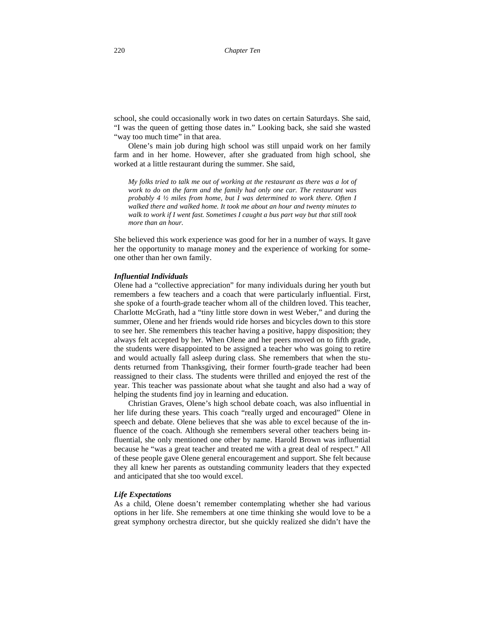school, she could occasionally work in two dates on certain Saturdays. She said, "I was the queen of getting those dates in." Looking back, she said she wasted "way too much time" in that area.

Olene's main job during high school was still unpaid work on her family farm and in her home. However, after she graduated from high school, she worked at a little restaurant during the summer. She said,

*My folks tried to talk me out of working at the restaurant as there was a lot of work to do on the farm and the family had only one car. The restaurant was probably 4 ½ miles from home, but I was determined to work there. Often I walked there and walked home. It took me about an hour and twenty minutes to walk to work if I went fast. Sometimes I caught a bus part way but that still took more than an hour.* 

She believed this work experience was good for her in a number of ways. It gave her the opportunity to manage money and the experience of working for someone other than her own family.

#### *Influential Individuals*

Olene had a "collective appreciation" for many individuals during her youth but remembers a few teachers and a coach that were particularly influential. First, she spoke of a fourth-grade teacher whom all of the children loved. This teacher, Charlotte McGrath, had a "tiny little store down in west Weber," and during the summer, Olene and her friends would ride horses and bicycles down to this store to see her. She remembers this teacher having a positive, happy disposition; they always felt accepted by her. When Olene and her peers moved on to fifth grade, the students were disappointed to be assigned a teacher who was going to retire and would actually fall asleep during class. She remembers that when the students returned from Thanksgiving, their former fourth-grade teacher had been reassigned to their class. The students were thrilled and enjoyed the rest of the year. This teacher was passionate about what she taught and also had a way of helping the students find joy in learning and education.

Christian Graves, Olene's high school debate coach, was also influential in her life during these years. This coach "really urged and encouraged" Olene in speech and debate. Olene believes that she was able to excel because of the influence of the coach. Although she remembers several other teachers being influential, she only mentioned one other by name. Harold Brown was influential because he "was a great teacher and treated me with a great deal of respect." All of these people gave Olene general encouragement and support. She felt because they all knew her parents as outstanding community leaders that they expected and anticipated that she too would excel.

# *Life Expectations*

As a child, Olene doesn't remember contemplating whether she had various options in her life. She remembers at one time thinking she would love to be a great symphony orchestra director, but she quickly realized she didn't have the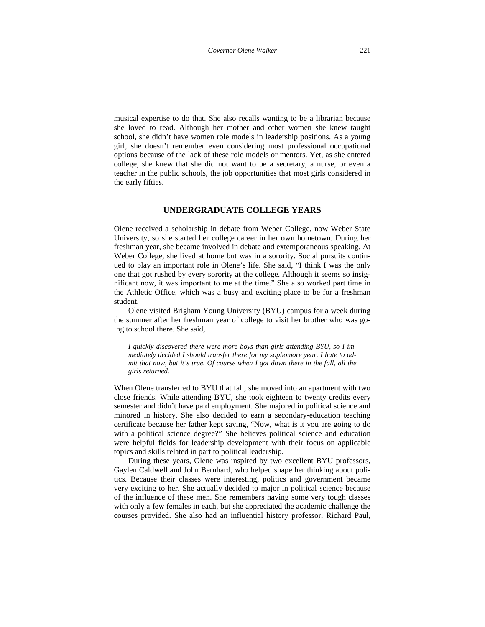musical expertise to do that. She also recalls wanting to be a librarian because she loved to read. Although her mother and other women she knew taught school, she didn't have women role models in leadership positions. As a young girl, she doesn't remember even considering most professional occupational options because of the lack of these role models or mentors. Yet, as she entered college, she knew that she did not want to be a secretary, a nurse, or even a teacher in the public schools, the job opportunities that most girls considered in the early fifties.

# **UNDERGRADUATE COLLEGE YEARS**

Olene received a scholarship in debate from Weber College, now Weber State University, so she started her college career in her own hometown. During her freshman year, she became involved in debate and extemporaneous speaking. At Weber College, she lived at home but was in a sorority. Social pursuits continued to play an important role in Olene's life. She said, "I think I was the only one that got rushed by every sorority at the college. Although it seems so insignificant now, it was important to me at the time." She also worked part time in the Athletic Office, which was a busy and exciting place to be for a freshman student.

Olene visited Brigham Young University (BYU) campus for a week during the summer after her freshman year of college to visit her brother who was going to school there. She said,

*I quickly discovered there were more boys than girls attending BYU, so I immediately decided I should transfer there for my sophomore year. I hate to admit that now, but it's true. Of course when I got down there in the fall, all the girls returned.* 

When Olene transferred to BYU that fall, she moved into an apartment with two close friends. While attending BYU, she took eighteen to twenty credits every semester and didn't have paid employment. She majored in political science and minored in history. She also decided to earn a secondary-education teaching certificate because her father kept saying, "Now, what is it you are going to do with a political science degree?" She believes political science and education were helpful fields for leadership development with their focus on applicable topics and skills related in part to political leadership.

During these years, Olene was inspired by two excellent BYU professors, Gaylen Caldwell and John Bernhard, who helped shape her thinking about politics. Because their classes were interesting, politics and government became very exciting to her. She actually decided to major in political science because of the influence of these men. She remembers having some very tough classes with only a few females in each, but she appreciated the academic challenge the courses provided. She also had an influential history professor, Richard Paul,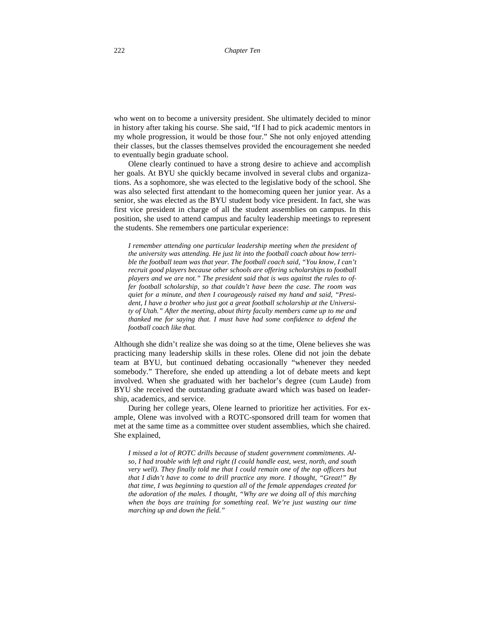who went on to become a university president. She ultimately decided to minor in history after taking his course. She said, "If I had to pick academic mentors in my whole progression, it would be those four." She not only enjoyed attending their classes, but the classes themselves provided the encouragement she needed to eventually begin graduate school.

Olene clearly continued to have a strong desire to achieve and accomplish her goals. At BYU she quickly became involved in several clubs and organizations. As a sophomore, she was elected to the legislative body of the school. She was also selected first attendant to the homecoming queen her junior year. As a senior, she was elected as the BYU student body vice president. In fact, she was first vice president in charge of all the student assemblies on campus. In this position, she used to attend campus and faculty leadership meetings to represent the students. She remembers one particular experience:

*I remember attending one particular leadership meeting when the president of the university was attending. He just lit into the football coach about how terrible the football team was that year. The football coach said, "You know, I can't recruit good players because other schools are offering scholarships to football players and we are not." The president said that is was against the rules to offer football scholarship, so that couldn't have been the case. The room was quiet for a minute, and then I courageously raised my hand and said, "President, I have a brother who just got a great football scholarship at the University of Utah." After the meeting, about thirty faculty members came up to me and thanked me for saying that. I must have had some confidence to defend the football coach like that.*

Although she didn't realize she was doing so at the time, Olene believes she was practicing many leadership skills in these roles. Olene did not join the debate team at BYU, but continued debating occasionally "whenever they needed somebody." Therefore, she ended up attending a lot of debate meets and kept involved. When she graduated with her bachelor's degree (cum Laude) from BYU she received the outstanding graduate award which was based on leadership, academics, and service.

During her college years, Olene learned to prioritize her activities. For example, Olene was involved with a ROTC-sponsored drill team for women that met at the same time as a committee over student assemblies, which she chaired. She explained,

*I missed a lot of ROTC drills because of student government commitments. Also, I had trouble with left and right (I could handle east, west, north, and south very well). They finally told me that I could remain one of the top officers but that I didn't have to come to drill practice any more. I thought, "Great!" By that time, I was beginning to question all of the female appendages created for the adoration of the males. I thought, "Why are we doing all of this marching when the boys are training for something real. We're just wasting our time marching up and down the field."*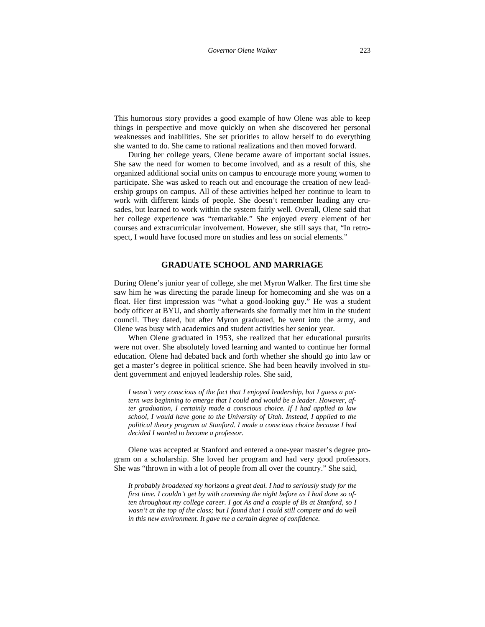This humorous story provides a good example of how Olene was able to keep things in perspective and move quickly on when she discovered her personal weaknesses and inabilities. She set priorities to allow herself to do everything she wanted to do. She came to rational realizations and then moved forward.

During her college years, Olene became aware of important social issues. She saw the need for women to become involved, and as a result of this, she organized additional social units on campus to encourage more young women to participate. She was asked to reach out and encourage the creation of new leadership groups on campus. All of these activities helped her continue to learn to work with different kinds of people. She doesn't remember leading any crusades, but learned to work within the system fairly well. Overall, Olene said that her college experience was "remarkable." She enjoyed every element of her courses and extracurricular involvement. However, she still says that, "In retrospect, I would have focused more on studies and less on social elements."

# **GRADUATE SCHOOL AND MARRIAGE**

During Olene's junior year of college, she met Myron Walker. The first time she saw him he was directing the parade lineup for homecoming and she was on a float. Her first impression was "what a good-looking guy." He was a student body officer at BYU, and shortly afterwards she formally met him in the student council. They dated, but after Myron graduated, he went into the army, and Olene was busy with academics and student activities her senior year.

When Olene graduated in 1953, she realized that her educational pursuits were not over. She absolutely loved learning and wanted to continue her formal education. Olene had debated back and forth whether she should go into law or get a master's degree in political science. She had been heavily involved in student government and enjoyed leadership roles. She said,

*I wasn't very conscious of the fact that I enjoyed leadership, but I guess a pattern was beginning to emerge that I could and would be a leader. However, after graduation, I certainly made a conscious choice. If I had applied to law school, I would have gone to the University of Utah. Instead, I applied to the political theory program at Stanford. I made a conscious choice because I had decided I wanted to become a professor.* 

Olene was accepted at Stanford and entered a one-year master's degree program on a scholarship. She loved her program and had very good professors. She was "thrown in with a lot of people from all over the country." She said,

*It probably broadened my horizons a great deal. I had to seriously study for the first time. I couldn't get by with cramming the night before as I had done so often throughout my college career. I got As and a couple of Bs at Stanford, so I wasn't at the top of the class; but I found that I could still compete and do well in this new environment. It gave me a certain degree of confidence.*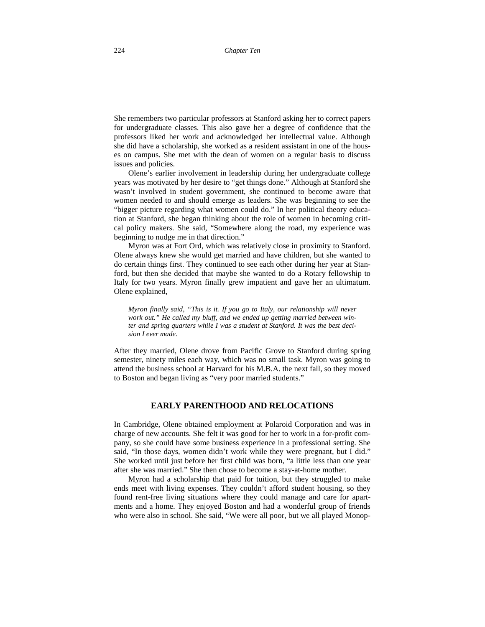She remembers two particular professors at Stanford asking her to correct papers for undergraduate classes. This also gave her a degree of confidence that the professors liked her work and acknowledged her intellectual value. Although she did have a scholarship, she worked as a resident assistant in one of the houses on campus. She met with the dean of women on a regular basis to discuss issues and policies.

Olene's earlier involvement in leadership during her undergraduate college years was motivated by her desire to "get things done." Although at Stanford she wasn't involved in student government, she continued to become aware that women needed to and should emerge as leaders. She was beginning to see the "bigger picture regarding what women could do." In her political theory education at Stanford, she began thinking about the role of women in becoming critical policy makers. She said, "Somewhere along the road, my experience was beginning to nudge me in that direction."

Myron was at Fort Ord, which was relatively close in proximity to Stanford. Olene always knew she would get married and have children, but she wanted to do certain things first. They continued to see each other during her year at Stanford, but then she decided that maybe she wanted to do a Rotary fellowship to Italy for two years. Myron finally grew impatient and gave her an ultimatum. Olene explained,

*Myron finally said, "This is it. If you go to Italy, our relationship will never work out." He called my bluff, and we ended up getting married between winter and spring quarters while I was a student at Stanford. It was the best decision I ever made.*

After they married, Olene drove from Pacific Grove to Stanford during spring semester, ninety miles each way, which was no small task. Myron was going to attend the business school at Harvard for his M.B.A. the next fall, so they moved to Boston and began living as "very poor married students."

# **EARLY PARENTHOOD AND RELOCATIONS**

In Cambridge, Olene obtained employment at Polaroid Corporation and was in charge of new accounts. She felt it was good for her to work in a for-profit company, so she could have some business experience in a professional setting. She said, "In those days, women didn't work while they were pregnant, but I did." She worked until just before her first child was born, "a little less than one year after she was married." She then chose to become a stay-at-home mother.

Myron had a scholarship that paid for tuition, but they struggled to make ends meet with living expenses. They couldn't afford student housing, so they found rent-free living situations where they could manage and care for apartments and a home. They enjoyed Boston and had a wonderful group of friends who were also in school. She said, "We were all poor, but we all played Monop-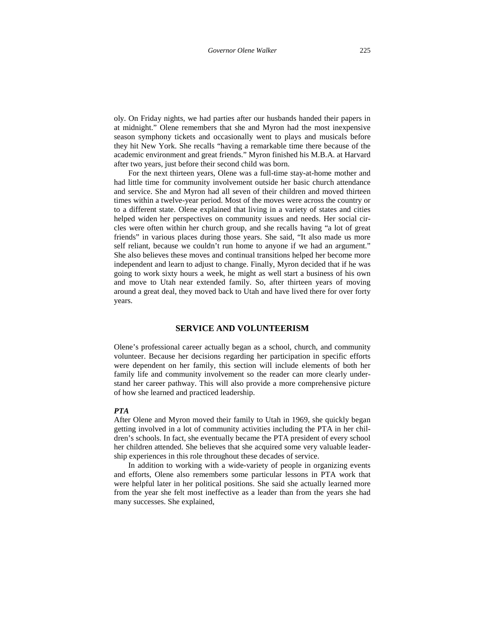oly. On Friday nights, we had parties after our husbands handed their papers in at midnight." Olene remembers that she and Myron had the most inexpensive season symphony tickets and occasionally went to plays and musicals before they hit New York. She recalls "having a remarkable time there because of the academic environment and great friends." Myron finished his M.B.A. at Harvard after two years, just before their second child was born.

For the next thirteen years, Olene was a full-time stay-at-home mother and had little time for community involvement outside her basic church attendance and service. She and Myron had all seven of their children and moved thirteen times within a twelve-year period. Most of the moves were across the country or to a different state. Olene explained that living in a variety of states and cities helped widen her perspectives on community issues and needs. Her social circles were often within her church group, and she recalls having "a lot of great friends" in various places during those years. She said, "It also made us more self reliant, because we couldn't run home to anyone if we had an argument." She also believes these moves and continual transitions helped her become more independent and learn to adjust to change. Finally, Myron decided that if he was going to work sixty hours a week, he might as well start a business of his own and move to Utah near extended family. So, after thirteen years of moving around a great deal, they moved back to Utah and have lived there for over forty years.

# **SERVICE AND VOLUNTEERISM**

Olene's professional career actually began as a school, church, and community volunteer. Because her decisions regarding her participation in specific efforts were dependent on her family, this section will include elements of both her family life and community involvement so the reader can more clearly understand her career pathway. This will also provide a more comprehensive picture of how she learned and practiced leadership.

# *PTA*

After Olene and Myron moved their family to Utah in 1969, she quickly began getting involved in a lot of community activities including the PTA in her children's schools. In fact, she eventually became the PTA president of every school her children attended. She believes that she acquired some very valuable leadership experiences in this role throughout these decades of service.

In addition to working with a wide-variety of people in organizing events and efforts, Olene also remembers some particular lessons in PTA work that were helpful later in her political positions. She said she actually learned more from the year she felt most ineffective as a leader than from the years she had many successes. She explained,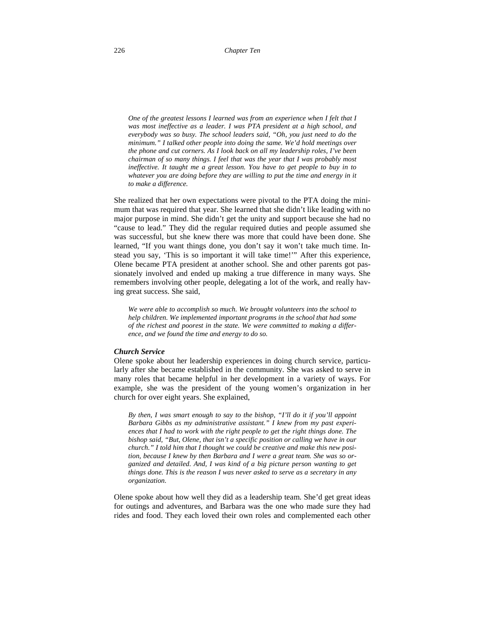*One of the greatest lessons I learned was from an experience when I felt that I*  was most ineffective as a leader. I was PTA president at a high school, and *everybody was so busy. The school leaders said, "Oh, you just need to do the minimum." I talked other people into doing the same. We'd hold meetings over the phone and cut corners. As I look back on all my leadership roles, I've been chairman of so many things. I feel that was the year that I was probably most ineffective. It taught me a great lesson. You have to get people to buy in to whatever you are doing before they are willing to put the time and energy in it to make a difference.* 

She realized that her own expectations were pivotal to the PTA doing the minimum that was required that year. She learned that she didn't like leading with no major purpose in mind. She didn't get the unity and support because she had no "cause to lead." They did the regular required duties and people assumed she was successful, but she knew there was more that could have been done. She learned, "If you want things done, you don't say it won't take much time. Instead you say, 'This is so important it will take time!'" After this experience, Olene became PTA president at another school. She and other parents got passionately involved and ended up making a true difference in many ways. She remembers involving other people, delegating a lot of the work, and really having great success. She said,

*We were able to accomplish so much. We brought volunteers into the school to help children. We implemented important programs in the school that had some of the richest and poorest in the state. We were committed to making a difference, and we found the time and energy to do so.* 

# *Church Service*

Olene spoke about her leadership experiences in doing church service, particularly after she became established in the community. She was asked to serve in many roles that became helpful in her development in a variety of ways. For example, she was the president of the young women's organization in her church for over eight years. She explained,

*By then, I was smart enough to say to the bishop, "I'll do it if you'll appoint Barbara Gibbs as my administrative assistant." I knew from my past experiences that I had to work with the right people to get the right things done. The bishop said, "But, Olene, that isn't a specific position or calling we have in our church." I told him that I thought we could be creative and make this new position, because I knew by then Barbara and I were a great team. She was so organized and detailed. And, I was kind of a big picture person wanting to get things done. This is the reason I was never asked to serve as a secretary in any organization.*

Olene spoke about how well they did as a leadership team. She'd get great ideas for outings and adventures, and Barbara was the one who made sure they had rides and food. They each loved their own roles and complemented each other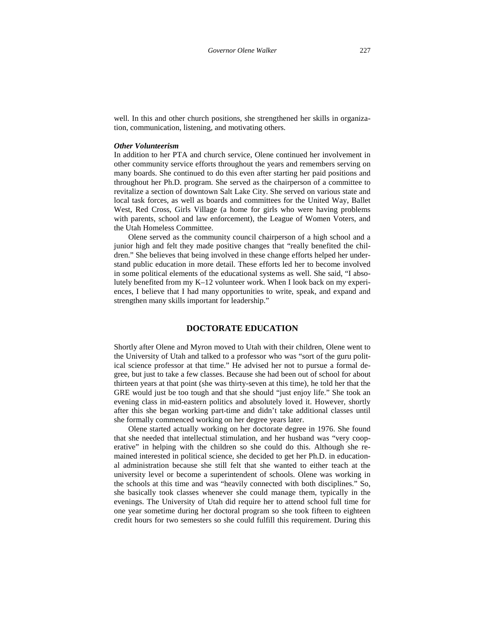well. In this and other church positions, she strengthened her skills in organization, communication, listening, and motivating others.

# *Other Volunteerism*

In addition to her PTA and church service, Olene continued her involvement in other community service efforts throughout the years and remembers serving on many boards. She continued to do this even after starting her paid positions and throughout her Ph.D. program. She served as the chairperson of a committee to revitalize a section of downtown Salt Lake City. She served on various state and local task forces, as well as boards and committees for the United Way, Ballet West, Red Cross, Girls Village (a home for girls who were having problems with parents, school and law enforcement), the League of Women Voters, and the Utah Homeless Committee.

Olene served as the community council chairperson of a high school and a junior high and felt they made positive changes that "really benefited the children." She believes that being involved in these change efforts helped her understand public education in more detail. These efforts led her to become involved in some political elements of the educational systems as well. She said, "I absolutely benefited from my K–12 volunteer work. When I look back on my experiences, I believe that I had many opportunities to write, speak, and expand and strengthen many skills important for leadership."

# **DOCTORATE EDUCATION**

Shortly after Olene and Myron moved to Utah with their children, Olene went to the University of Utah and talked to a professor who was "sort of the guru political science professor at that time." He advised her not to pursue a formal degree, but just to take a few classes. Because she had been out of school for about thirteen years at that point (she was thirty-seven at this time), he told her that the GRE would just be too tough and that she should "just enjoy life." She took an evening class in mid-eastern politics and absolutely loved it. However, shortly after this she began working part-time and didn't take additional classes until she formally commenced working on her degree years later.

Olene started actually working on her doctorate degree in 1976. She found that she needed that intellectual stimulation, and her husband was "very cooperative" in helping with the children so she could do this. Although she remained interested in political science, she decided to get her Ph.D. in educational administration because she still felt that she wanted to either teach at the university level or become a superintendent of schools. Olene was working in the schools at this time and was "heavily connected with both disciplines." So, she basically took classes whenever she could manage them, typically in the evenings. The University of Utah did require her to attend school full time for one year sometime during her doctoral program so she took fifteen to eighteen credit hours for two semesters so she could fulfill this requirement. During this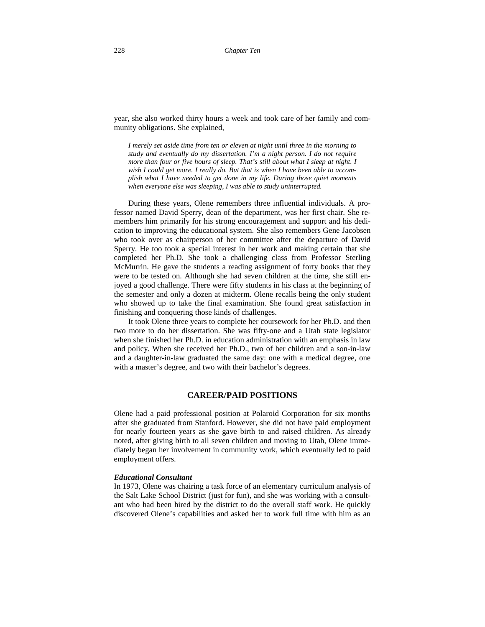year, she also worked thirty hours a week and took care of her family and community obligations. She explained,

*I merely set aside time from ten or eleven at night until three in the morning to study and eventually do my dissertation. I'm a night person. I do not require more than four or five hours of sleep. That's still about what I sleep at night. I wish I could get more. I really do. But that is when I have been able to accomplish what I have needed to get done in my life. During those quiet moments when everyone else was sleeping, I was able to study uninterrupted.* 

During these years, Olene remembers three influential individuals. A professor named David Sperry, dean of the department, was her first chair. She remembers him primarily for his strong encouragement and support and his dedication to improving the educational system. She also remembers Gene Jacobsen who took over as chairperson of her committee after the departure of David Sperry. He too took a special interest in her work and making certain that she completed her Ph.D. She took a challenging class from Professor Sterling McMurrin. He gave the students a reading assignment of forty books that they were to be tested on. Although she had seven children at the time, she still enjoyed a good challenge. There were fifty students in his class at the beginning of the semester and only a dozen at midterm. Olene recalls being the only student who showed up to take the final examination. She found great satisfaction in finishing and conquering those kinds of challenges.

It took Olene three years to complete her coursework for her Ph.D. and then two more to do her dissertation. She was fifty-one and a Utah state legislator when she finished her Ph.D. in education administration with an emphasis in law and policy. When she received her Ph.D., two of her children and a son-in-law and a daughter-in-law graduated the same day: one with a medical degree, one with a master's degree, and two with their bachelor's degrees.

# **CAREER/PAID POSITIONS**

Olene had a paid professional position at Polaroid Corporation for six months after she graduated from Stanford. However, she did not have paid employment for nearly fourteen years as she gave birth to and raised children. As already noted, after giving birth to all seven children and moving to Utah, Olene immediately began her involvement in community work, which eventually led to paid employment offers.

# *Educational Consultant*

In 1973, Olene was chairing a task force of an elementary curriculum analysis of the Salt Lake School District (just for fun), and she was working with a consultant who had been hired by the district to do the overall staff work. He quickly discovered Olene's capabilities and asked her to work full time with him as an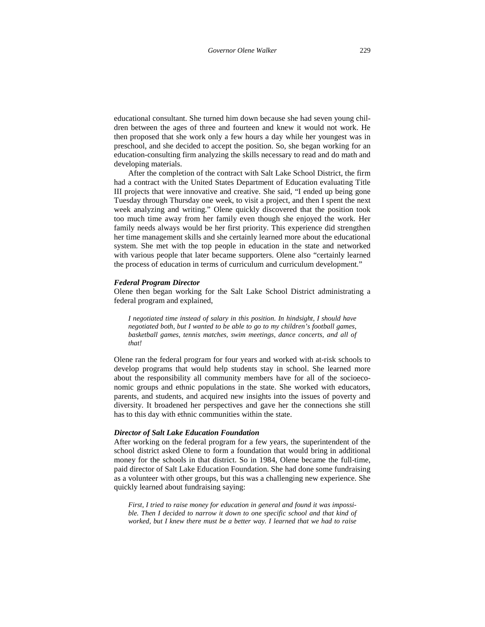educational consultant. She turned him down because she had seven young children between the ages of three and fourteen and knew it would not work. He then proposed that she work only a few hours a day while her youngest was in preschool, and she decided to accept the position. So, she began working for an education-consulting firm analyzing the skills necessary to read and do math and developing materials.

After the completion of the contract with Salt Lake School District, the firm had a contract with the United States Department of Education evaluating Title III projects that were innovative and creative. She said, "I ended up being gone Tuesday through Thursday one week, to visit a project, and then I spent the next week analyzing and writing." Olene quickly discovered that the position took too much time away from her family even though she enjoyed the work. Her family needs always would be her first priority. This experience did strengthen her time management skills and she certainly learned more about the educational system. She met with the top people in education in the state and networked with various people that later became supporters. Olene also "certainly learned the process of education in terms of curriculum and curriculum development."

# *Federal Program Director*

Olene then began working for the Salt Lake School District administrating a federal program and explained,

*I negotiated time instead of salary in this position. In hindsight, I should have negotiated both, but I wanted to be able to go to my children's football games, basketball games, tennis matches, swim meetings, dance concerts, and all of that!*

Olene ran the federal program for four years and worked with at-risk schools to develop programs that would help students stay in school. She learned more about the responsibility all community members have for all of the socioeconomic groups and ethnic populations in the state. She worked with educators, parents, and students, and acquired new insights into the issues of poverty and diversity. It broadened her perspectives and gave her the connections she still has to this day with ethnic communities within the state.

## *Director of Salt Lake Education Foundation*

After working on the federal program for a few years, the superintendent of the school district asked Olene to form a foundation that would bring in additional money for the schools in that district. So in 1984, Olene became the full-time, paid director of Salt Lake Education Foundation. She had done some fundraising as a volunteer with other groups, but this was a challenging new experience. She quickly learned about fundraising saying:

*First, I tried to raise money for education in general and found it was impossible. Then I decided to narrow it down to one specific school and that kind of worked, but I knew there must be a better way. I learned that we had to raise*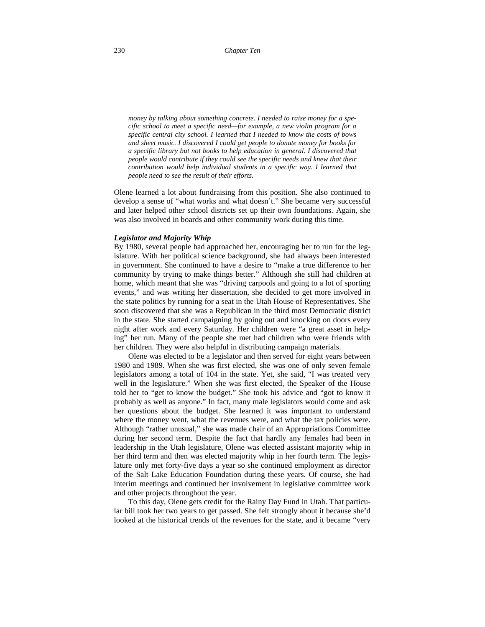*money by talking about something concrete. I needed to raise money for a specific school to meet a specific need—for example, a new violin program for a specific central city school. I learned that I needed to know the costs of bows and sheet music. I discovered I could get people to donate money for books for a specific library but not books to help education in general. I discovered that people would contribute if they could see the specific needs and knew that their contribution would help individual students in a specific way. I learned that people need to see the result of their efforts.* 

Olene learned a lot about fundraising from this position. She also continued to develop a sense of "what works and what doesn't." She became very successful and later helped other school districts set up their own foundations. Again, she was also involved in boards and other community work during this time.

#### *Legislator and Majority Whip*

By 1980, several people had approached her, encouraging her to run for the legislature. With her political science background, she had always been interested in government. She continued to have a desire to "make a true difference to her community by trying to make things better." Although she still had children at home, which meant that she was "driving carpools and going to a lot of sporting events," and was writing her dissertation, she decided to get more involved in the state politics by running for a seat in the Utah House of Representatives. She soon discovered that she was a Republican in the third most Democratic district in the state. She started campaigning by going out and knocking on doors every night after work and every Saturday. Her children were "a great asset in helping" her run. Many of the people she met had children who were friends with her children. They were also helpful in distributing campaign materials.

Olene was elected to be a legislator and then served for eight years between 1980 and 1989. When she was first elected, she was one of only seven female legislators among a total of 104 in the state. Yet, she said, "I was treated very well in the legislature." When she was first elected, the Speaker of the House told her to "get to know the budget." She took his advice and "got to know it probably as well as anyone." In fact, many male legislators would come and ask her questions about the budget. She learned it was important to understand where the money went, what the revenues were, and what the tax policies were. Although "rather unusual," she was made chair of an Appropriations Committee during her second term. Despite the fact that hardly any females had been in leadership in the Utah legislature, Olene was elected assistant majority whip in her third term and then was elected majority whip in her fourth term. The legislature only met forty-five days a year so she continued employment as director of the Salt Lake Education Foundation during these years. Of course, she had interim meetings and continued her involvement in legislative committee work and other projects throughout the year.

To this day, Olene gets credit for the Rainy Day Fund in Utah. That particular bill took her two years to get passed. She felt strongly about it because she'd looked at the historical trends of the revenues for the state, and it became "very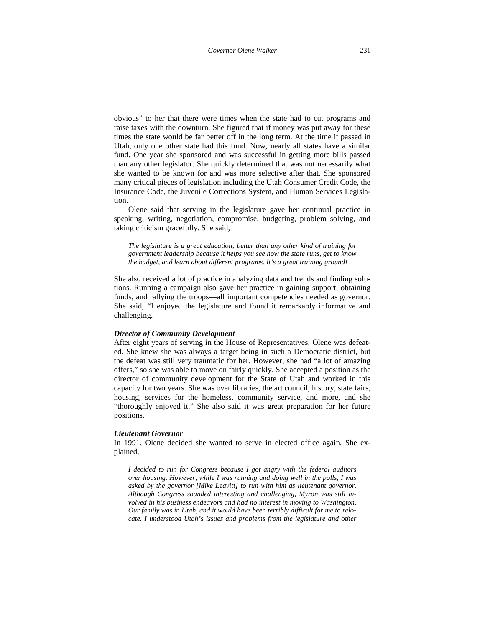obvious" to her that there were times when the state had to cut programs and raise taxes with the downturn. She figured that if money was put away for these times the state would be far better off in the long term. At the time it passed in Utah, only one other state had this fund. Now, nearly all states have a similar fund. One year she sponsored and was successful in getting more bills passed than any other legislator. She quickly determined that was not necessarily what she wanted to be known for and was more selective after that. She sponsored many critical pieces of legislation including the Utah Consumer Credit Code, the Insurance Code, the Juvenile Corrections System, and Human Services Legislation.

Olene said that serving in the legislature gave her continual practice in speaking, writing, negotiation, compromise, budgeting, problem solving, and taking criticism gracefully. She said,

*The legislature is a great education; better than any other kind of training for government leadership because it helps you see how the state runs, get to know the budget, and learn about different programs. It's a great training ground!*

She also received a lot of practice in analyzing data and trends and finding solutions. Running a campaign also gave her practice in gaining support, obtaining funds, and rallying the troops—all important competencies needed as governor. She said, "I enjoyed the legislature and found it remarkably informative and challenging.

### *Director of Community Development*

After eight years of serving in the House of Representatives, Olene was defeated. She knew she was always a target being in such a Democratic district, but the defeat was still very traumatic for her. However, she had "a lot of amazing offers," so she was able to move on fairly quickly. She accepted a position as the director of community development for the State of Utah and worked in this capacity for two years. She was over libraries, the art council, history, state fairs, housing, services for the homeless, community service, and more, and she "thoroughly enjoyed it." She also said it was great preparation for her future positions.

#### *Lieutenant Governor*

In 1991, Olene decided she wanted to serve in elected office again. She explained,

*I decided to run for Congress because I got angry with the federal auditors over housing. However, while I was running and doing well in the polls, I was asked by the governor [Mike Leavitt] to run with him as lieutenant governor. Although Congress sounded interesting and challenging, Myron was still involved in his business endeavors and had no interest in moving to Washington. Our family was in Utah, and it would have been terribly difficult for me to relocate. I understood Utah's issues and problems from the legislature and other*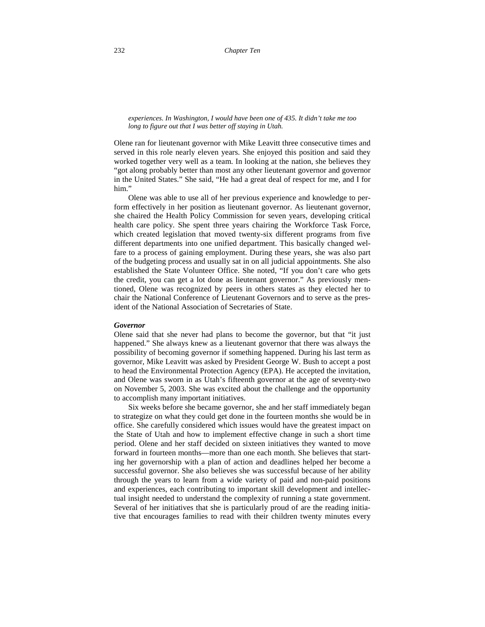#### *experiences. In Washington, I would have been one of 435. It didn't take me too long to figure out that I was better off staying in Utah.*

Olene ran for lieutenant governor with Mike Leavitt three consecutive times and served in this role nearly eleven years. She enjoyed this position and said they worked together very well as a team. In looking at the nation, she believes they "got along probably better than most any other lieutenant governor and governor in the United States." She said, "He had a great deal of respect for me, and I for him."

Olene was able to use all of her previous experience and knowledge to perform effectively in her position as lieutenant governor. As lieutenant governor, she chaired the Health Policy Commission for seven years, developing critical health care policy. She spent three years chairing the Workforce Task Force, which created legislation that moved twenty-six different programs from five different departments into one unified department. This basically changed welfare to a process of gaining employment. During these years, she was also part of the budgeting process and usually sat in on all judicial appointments. She also established the State Volunteer Office. She noted, "If you don't care who gets the credit, you can get a lot done as lieutenant governor." As previously mentioned, Olene was recognized by peers in others states as they elected her to chair the National Conference of Lieutenant Governors and to serve as the president of the National Association of Secretaries of State.

## *Governor*

Olene said that she never had plans to become the governor, but that "it just happened." She always knew as a lieutenant governor that there was always the possibility of becoming governor if something happened. During his last term as governor, Mike Leavitt was asked by President George W. Bush to accept a post to head the Environmental Protection Agency (EPA). He accepted the invitation, and Olene was sworn in as Utah's fifteenth governor at the age of seventy-two on November 5, 2003. She was excited about the challenge and the opportunity to accomplish many important initiatives.

Six weeks before she became governor, she and her staff immediately began to strategize on what they could get done in the fourteen months she would be in office. She carefully considered which issues would have the greatest impact on the State of Utah and how to implement effective change in such a short time period. Olene and her staff decided on sixteen initiatives they wanted to move forward in fourteen months—more than one each month. She believes that starting her governorship with a plan of action and deadlines helped her become a successful governor. She also believes she was successful because of her ability through the years to learn from a wide variety of paid and non-paid positions and experiences, each contributing to important skill development and intellectual insight needed to understand the complexity of running a state government. Several of her initiatives that she is particularly proud of are the reading initiative that encourages families to read with their children twenty minutes every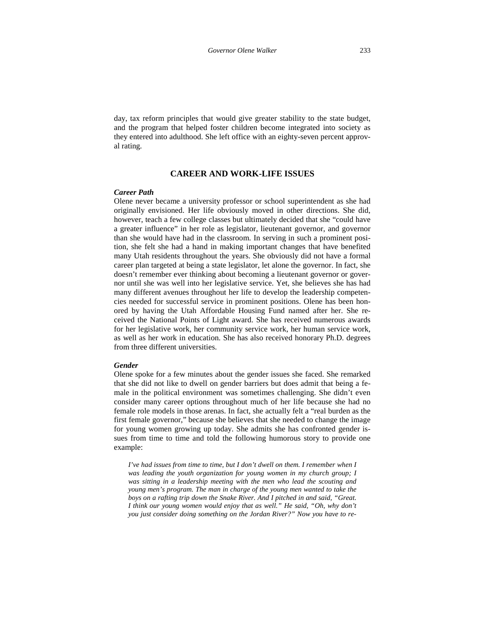day, tax reform principles that would give greater stability to the state budget, and the program that helped foster children become integrated into society as they entered into adulthood. She left office with an eighty-seven percent approval rating.

# **CAREER AND WORK-LIFE ISSUES**

## *Career Path*

Olene never became a university professor or school superintendent as she had originally envisioned. Her life obviously moved in other directions. She did, however, teach a few college classes but ultimately decided that she "could have a greater influence" in her role as legislator, lieutenant governor, and governor than she would have had in the classroom. In serving in such a prominent position, she felt she had a hand in making important changes that have benefited many Utah residents throughout the years. She obviously did not have a formal career plan targeted at being a state legislator, let alone the governor. In fact, she doesn't remember ever thinking about becoming a lieutenant governor or governor until she was well into her legislative service. Yet, she believes she has had many different avenues throughout her life to develop the leadership competencies needed for successful service in prominent positions. Olene has been honored by having the Utah Affordable Housing Fund named after her. She received the National Points of Light award. She has received numerous awards for her legislative work, her community service work, her human service work, as well as her work in education. She has also received honorary Ph.D. degrees from three different universities.

# *Gender*

Olene spoke for a few minutes about the gender issues she faced. She remarked that she did not like to dwell on gender barriers but does admit that being a female in the political environment was sometimes challenging. She didn't even consider many career options throughout much of her life because she had no female role models in those arenas. In fact, she actually felt a "real burden as the first female governor," because she believes that she needed to change the image for young women growing up today. She admits she has confronted gender issues from time to time and told the following humorous story to provide one example:

*I've had issues from time to time, but I don't dwell on them. I remember when I was leading the youth organization for young women in my church group; I was sitting in a leadership meeting with the men who lead the scouting and young men's program. The man in charge of the young men wanted to take the boys on a rafting trip down the Snake River. And I pitched in and said, "Great. I think our young women would enjoy that as well." He said, "Oh, why don't you just consider doing something on the Jordan River?" Now you have to re-*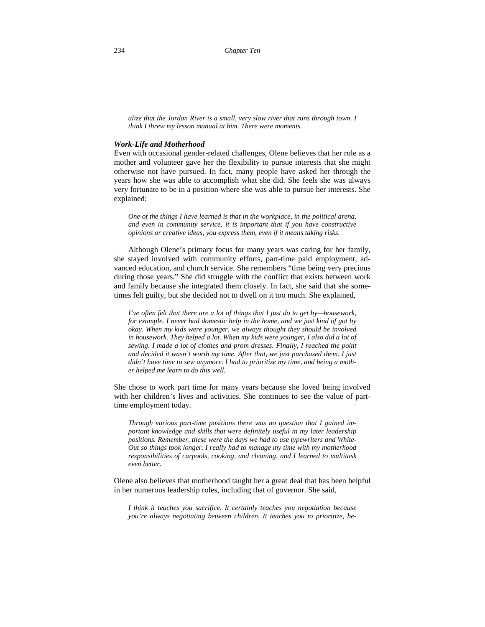*alize that the Jordan River is a small, very slow river that runs through town. I think I threw my lesson manual at him. There were moments.* 

#### *Work-Life and Motherhood*

Even with occasional gender-related challenges, Olene believes that her role as a mother and volunteer gave her the flexibility to pursue interests that she might otherwise not have pursued. In fact, many people have asked her through the years how she was able to accomplish what she did. She feels she was always very fortunate to be in a position where she was able to pursue her interests. She explained:

*One of the things I have learned is that in the workplace, in the political arena, and even in community service, it is important that if you have constructive opinions or creative ideas, you express them, even if it means taking risks.* 

Although Olene's primary focus for many years was caring for her family, she stayed involved with community efforts, part-time paid employment, advanced education, and church service. She remembers "time being very precious during those years." She did struggle with the conflict that exists between work and family because she integrated them closely. In fact, she said that she sometimes felt guilty, but she decided not to dwell on it too much. She explained,

*I've often felt that there are a lot of things that I just do to get by—housework, for example. I never had domestic help in the home, and we just kind of got by okay. When my kids were younger, we always thought they should be involved*  in housework. They helped a lot. When my kids were younger, I also did a lot of *sewing. I made a lot of clothes and prom dresses. Finally, I reached the point and decided it wasn't worth my time. After that, we just purchased them. I just didn't have time to sew anymore. I had to prioritize my time, and being a mother helped me learn to do this well.* 

She chose to work part time for many years because she loved being involved with her children's lives and activities. She continues to see the value of parttime employment today.

*Through various part-time positions there was no question that I gained important knowledge and skills that were definitely useful in my later leadership positions. Remember, these were the days we had to use typewriters and White-Out so things took longer. I really had to manage my time with my motherhood responsibilities of carpools, cooking, and cleaning, and I learned to multitask even better.*

Olene also believes that motherhood taught her a great deal that has been helpful in her numerous leadership roles, including that of governor. She said,

*I think it teaches you sacrifice. It certainly teaches you negotiation because you're always negotiating between children. It teaches you to prioritize, be-*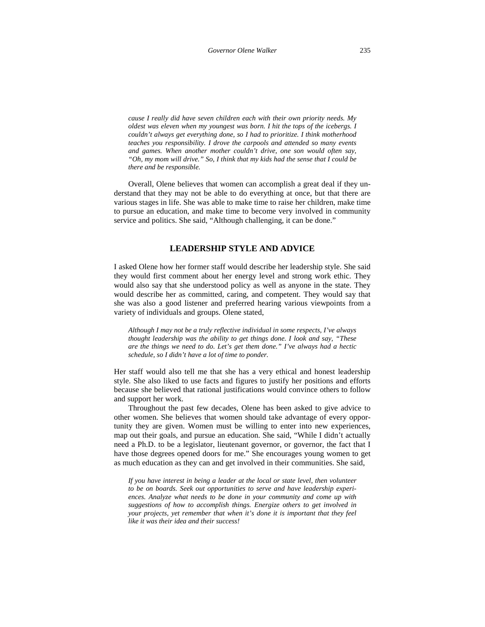*cause I really did have seven children each with their own priority needs. My oldest was eleven when my youngest was born. I hit the tops of the icebergs. I couldn't always get everything done, so I had to prioritize. I think motherhood teaches you responsibility. I drove the carpools and attended so many events and games. When another mother couldn't drive, one son would often say, "Oh, my mom will drive." So, I think that my kids had the sense that I could be there and be responsible.* 

Overall, Olene believes that women can accomplish a great deal if they understand that they may not be able to do everything at once, but that there are various stages in life. She was able to make time to raise her children, make time to pursue an education, and make time to become very involved in community service and politics. She said, "Although challenging, it can be done."

# **LEADERSHIP STYLE AND ADVICE**

I asked Olene how her former staff would describe her leadership style. She said they would first comment about her energy level and strong work ethic. They would also say that she understood policy as well as anyone in the state. They would describe her as committed, caring, and competent. They would say that she was also a good listener and preferred hearing various viewpoints from a variety of individuals and groups. Olene stated,

*Although I may not be a truly reflective individual in some respects, I've always thought leadership was the ability to get things done. I look and say, "These are the things we need to do. Let's get them done." I've always had a hectic schedule, so I didn't have a lot of time to ponder.* 

Her staff would also tell me that she has a very ethical and honest leadership style. She also liked to use facts and figures to justify her positions and efforts because she believed that rational justifications would convince others to follow and support her work.

Throughout the past few decades, Olene has been asked to give advice to other women. She believes that women should take advantage of every opportunity they are given. Women must be willing to enter into new experiences, map out their goals, and pursue an education. She said, "While I didn't actually need a Ph.D. to be a legislator, lieutenant governor, or governor, the fact that I have those degrees opened doors for me." She encourages young women to get as much education as they can and get involved in their communities. She said,

*If you have interest in being a leader at the local or state level, then volunteer to be on boards. Seek out opportunities to serve and have leadership experiences. Analyze what needs to be done in your community and come up with suggestions of how to accomplish things. Energize others to get involved in your projects, yet remember that when it's done it is important that they feel like it was their idea and their success!*